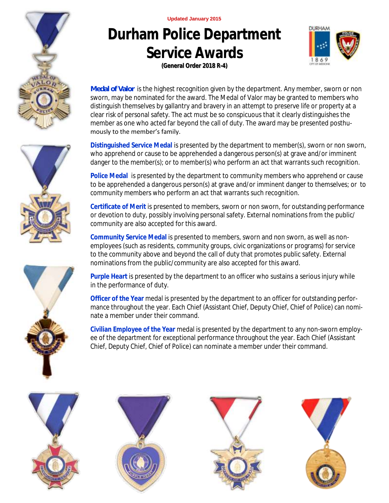

#### **Updated January 2015**

# **Durham Police Department Service Awards**



**(General Order 2018 R-4)**

*Medal of Valor* is the highest recognition given by the department. Any member, sworn or non sworn, may be nominated for the award. The Medal of Valor may be granted to members who distinguish themselves by gallantry and bravery in an attempt to preserve life or property at a clear risk of personal safety. The act must be so conspicuous that it clearly distinguishes the member as one who acted far beyond the call of duty. The award may be presented posthumously to the member's family.

**Distinguished Service Medal** is presented by the department to member(s), sworn or non sworn, who apprehend or cause to be apprehended a dangerous person(s) at grave and/or imminent danger to the member(s); or to member(s) who perform an act that warrants such recognition.

**Police Medal** is presented by the department to community members who apprehend or cause to be apprehended a dangerous person(s) at grave and/or imminent danger to themselves; or to community members who perform an act that warrants such recognition.

**Certificate of Merit** is presented to members, sworn or non sworn, for outstanding performance or devotion to duty, possibly involving personal safety. External nominations from the public/ community are also accepted for this award.

**Community Service Medal** is presented to members, sworn and non sworn, as well as nonemployees (such as residents, community groups, civic organizations or programs) for service to the community above and beyond the call of duty that promotes public safety. External nominations from the public/community are also accepted for this award.

**Purple Heart** is presented by the department to an officer who sustains a serious injury while in the performance of duty.

**Officer of the Year** medal is presented by the department to an officer for outstanding performance throughout the year. Each Chief (Assistant Chief, Deputy Chief, Chief of Police) can nominate a member under their command.

**Civilian Employee of the Year** medal is presented by the department to any non-sworn employee of the department for exceptional performance throughout the year. Each Chief (Assistant Chief, Deputy Chief, Chief of Police) can nominate a member under their command.











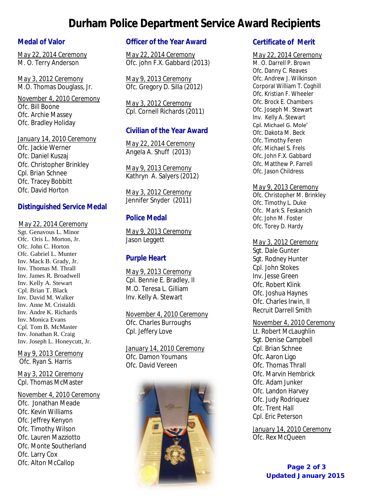# **Durham Police Department Service Award Recipients**

# **Medal of Valor**

*May 22, 2014 Ceremony* M. O. Terry Anderson

*May 3, 2012 Ceremony* M.O. Thomas Douglass, Jr.

*November 4, 2010 Ceremony* Ofc. Bill Boone Ofc. Archie Massey Ofc. Bradley Holiday

### *January 14, 2010 Ceremony*

Ofc. Jackie Werner Ofc. Daniel Kuszaj Ofc. Christopher Brinkley Cpl. Brian Schnee Ofc. Tracey Bobbitt Ofc. David Horton

# **Distinguished Service Medal**

#### *May 22, 2014 Ceremony*

Sgt. Genavous L. Minor Ofc. Oris L. Morton, Jr. Ofc. John C. Horton Ofc. Gabriel L. Munter Inv. Mack B. Grady, Jr. Inv. Thomas M. Thrall Inv. James R. Broadwell Inv. Kelly A. Stewart Cpl. Brian T. Black Inv. David M. Walker Inv. Anne M. Cristaldi Inv. Andre K. Richards Inv. Monica Evans Cpl. Tom B. McMaster Inv. Jonathan R. Craig Inv. Joseph L. Honeycutt, Jr.

*May 9, 2013 Ceremony* Ofc. Ryan S. Harris

*May 3, 2012 Ceremony* Cpl. Thomas McMaster

### *November 4, 2010 Ceremony*

Ofc. Jonathan Meade Ofc. Kevin Williams Ofc. Jeffrey Kenyon Ofc. Timothy Wilson Ofc. Lauren Mazziotto Ofc. Monte Southerland Ofc. Larry Cox Ofc. Alton McCallop

# **Officer of the Year Award**

*May 22, 2014 Ceremony* Ofc. john F.X. Gabbard (2013)

*May 9, 2013 Ceremony* Ofc. Gregory D. Silla *(2012)*

*May 3, 2012 Ceremony* Cpl. Cornell Richards (2011)

# **Civilian of the Year Award**

*May 22, 2014 Ceremony* Angela A. Shuff (2013)

*May 9, 2013 Ceremony* Kathryn A. Salyers (2012)

*May 3, 2012 Ceremony* Jennifer Snyder (2011)

# **Police Medal**

*May 9, 2013 Ceremony* Jason Leggett

# **Purple Heart**

*May 9, 2013 Ceremony* Cpl. Bennie E. Bradley, II M.O. Teresa L. Gilliam Inv. Kelly A. Stewart

*November 4, 2010 Ceremony* Ofc. Charles Burroughs Cpl. Jeffery Love

*January 14, 2010 Ceremony* Ofc. Damon Youmans Ofc. David Vereen



# **Certificate of Merit**

*May 22, 2014 Ceremony* M. O. Darrell P. Brown Ofc. Danny C. Reaves Ofc. Andrew J. Wilkinson Corporal William T. Coghill Ofc. Kristian F. Wheeler Ofc. Brock E. Chambers Ofc. Joseph M. Stewart Inv. Kelly A. Stewart Cpl. Michael G. Mole' Ofc. Dakota M. Beck Ofc. Timothy Feren Ofc. Michael S. Frels Ofc. John F.X. Gabbard Ofc. Matthew P. Farrell Ofc. Jason Childress

### *May 9, 2013 Ceremony*

Ofc. Christopher M. Brinkley Ofc. Timothy L. Duke Ofc. Mark S. Feskanich Ofc. John M. Foster Ofc. Torey D. Hardy

### *May 3, 2012 Ceremony*

Sgt. Dale Gunter Sgt. Rodney Hunter Cpl. John Stokes Inv. Jesse Green Ofc. Robert Klink Ofc. Joshua Haynes Ofc. Charles Irwin, II Recruit Darrell Smith

#### *November 4, 2010 Ceremony*

Lt. Robert McLaughlin Sgt. Denise Campbell Cpl. Brian Schnee Ofc. Aaron Ligo Ofc. Thomas Thrall Ofc. Marvin Hembrick Ofc. Adam Junker Ofc. Landon Harvey Ofc. Judy Rodriquez Ofc. Trent Hall Cpl. Eric Peterson

*January 14, 2010 Ceremony* Ofc. Rex McQueen

> Page 2 of 3 Updated January 2015